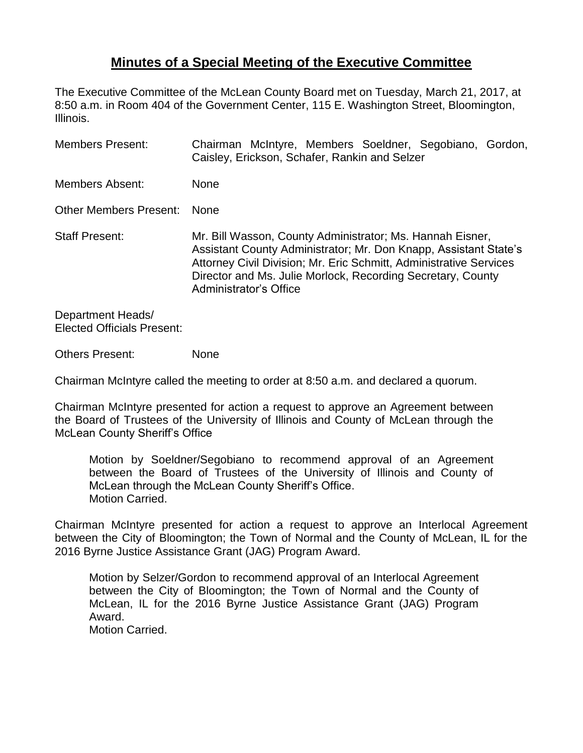## **Minutes of a Special Meeting of the Executive Committee**

The Executive Committee of the McLean County Board met on Tuesday, March 21, 2017, at 8:50 a.m. in Room 404 of the Government Center, 115 E. Washington Street, Bloomington, Illinois.

| <b>Members Present:</b>       | Chairman McIntyre, Members Soeldner, Segobiano, Gordon,<br>Caisley, Erickson, Schafer, Rankin and Selzer                                                                                                                                                                                     |
|-------------------------------|----------------------------------------------------------------------------------------------------------------------------------------------------------------------------------------------------------------------------------------------------------------------------------------------|
| Members Absent:               | <b>None</b>                                                                                                                                                                                                                                                                                  |
| <b>Other Members Present:</b> | <b>None</b>                                                                                                                                                                                                                                                                                  |
| <b>Staff Present:</b>         | Mr. Bill Wasson, County Administrator; Ms. Hannah Eisner,<br>Assistant County Administrator; Mr. Don Knapp, Assistant State's<br>Attorney Civil Division; Mr. Eric Schmitt, Administrative Services<br>Director and Ms. Julie Morlock, Recording Secretary, County<br>Administrator's Office |

Department Heads/ Elected Officials Present:

Others Present: None

Chairman McIntyre called the meeting to order at 8:50 a.m. and declared a quorum.

Chairman McIntyre presented for action a request to approve an Agreement between the Board of Trustees of the University of Illinois and County of McLean through the McLean County Sheriff's Office

Motion by Soeldner/Segobiano to recommend approval of an Agreement between the Board of Trustees of the University of Illinois and County of McLean through the McLean County Sheriff's Office. Motion Carried.

Chairman McIntyre presented for action a request to approve an Interlocal Agreement between the City of Bloomington; the Town of Normal and the County of McLean, IL for the 2016 Byrne Justice Assistance Grant (JAG) Program Award.

Motion by Selzer/Gordon to recommend approval of an Interlocal Agreement between the City of Bloomington; the Town of Normal and the County of McLean, IL for the 2016 Byrne Justice Assistance Grant (JAG) Program Award. Motion Carried.